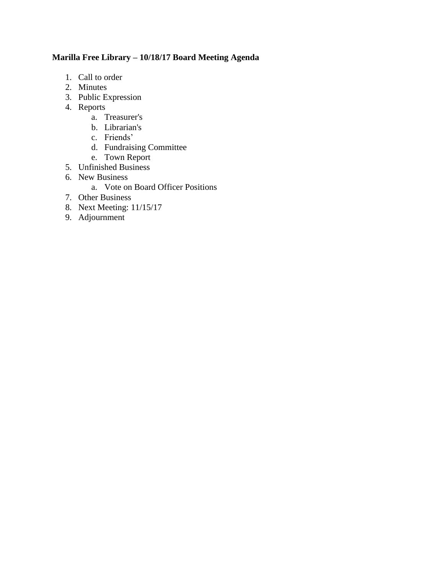# **Marilla Free Library – 10/18/17 Board Meeting Agenda**

- 1. Call to order
- 2. Minutes
- 3. Public Expression
- 4. Reports
	- a. Treasurer's
	- b. Librarian's
	- c. Friends'
	- d. Fundraising Committee
	- e. Town Report
- 5. Unfinished Business
- 6. New Business
	- a. Vote on Board Officer Positions
- 7. Other Business
- 8. Next Meeting: 11/15/17
- 9. Adjournment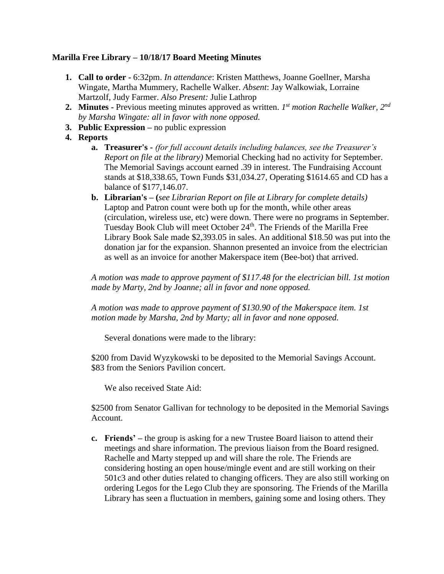### **Marilla Free Library – 10/18/17 Board Meeting Minutes**

- **1. Call to order -** 6:32pm. *In attendance*: Kristen Matthews, Joanne Goellner, Marsha Wingate, Martha Mummery, Rachelle Walker. *Absent*: Jay Walkowiak, Lorraine Martzolf, Judy Farmer. *Also Present:* Julie Lathrop
- **2. Minutes -** Previous meeting minutes approved as written. *1 st motion Rachelle Walker, 2nd by Marsha Wingate: all in favor with none opposed.*
- **3. Public Expression –** no public expression
- **4. Reports**
	- **a. Treasurer's -** *(for full account details including balances, see the Treasurer's Report on file at the library)* Memorial Checking had no activity for September. The Memorial Savings account earned .39 in interest. The Fundraising Account stands at \$18,338.65, Town Funds \$31,034.27, Operating \$1614.65 and CD has a balance of \$177,146.07.
	- **b. Librarian's – (***see Librarian Report on file at Library for complete details)*  Laptop and Patron count were both up for the month, while other areas (circulation, wireless use, etc) were down. There were no programs in September. Tuesday Book Club will meet October 24<sup>th</sup>. The Friends of the Marilla Free Library Book Sale made \$2,393.05 in sales. An additional \$18.50 was put into the donation jar for the expansion. Shannon presented an invoice from the electrician as well as an invoice for another Makerspace item (Bee-bot) that arrived.

*A motion was made to approve payment of \$117.48 for the electrician bill. 1st motion made by Marty, 2nd by Joanne; all in favor and none opposed.*

*A motion was made to approve payment of \$130.90 of the Makerspace item. 1st motion made by Marsha, 2nd by Marty; all in favor and none opposed.*

Several donations were made to the library:

\$200 from David Wyzykowski to be deposited to the Memorial Savings Account. \$83 from the Seniors Pavilion concert.

We also received State Aid:

\$2500 from Senator Gallivan for technology to be deposited in the Memorial Savings Account.

**c. Friends' –** the group is asking for a new Trustee Board liaison to attend their meetings and share information. The previous liaison from the Board resigned. Rachelle and Marty stepped up and will share the role. The Friends are considering hosting an open house/mingle event and are still working on their 501c3 and other duties related to changing officers. They are also still working on ordering Legos for the Lego Club they are sponsoring. The Friends of the Marilla Library has seen a fluctuation in members, gaining some and losing others. They